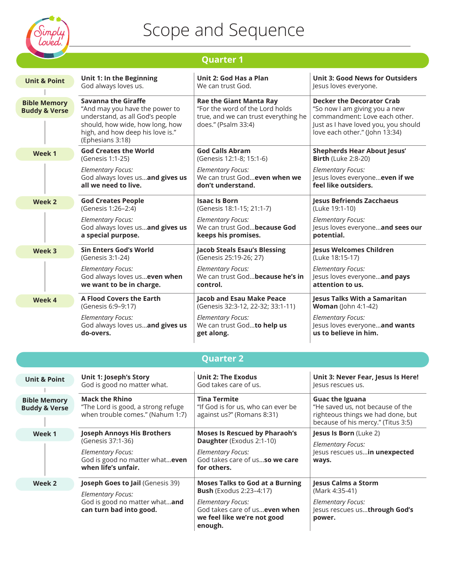

*Elementary Focus:*

**when life's unfair.**

*Elementary Focus:*

**Week 2**

God is good no matter what…**even** 

**Joseph Goes to Jail** (Genesis 39)

God is good no matter what…**and** 

**can turn bad into good.** 

### Scope and Sequence

|                                                 | <b>Quarter 1</b>                                                                                                                                                                           |                                                                                                                                  |                                                                                                                                                                              |  |
|-------------------------------------------------|--------------------------------------------------------------------------------------------------------------------------------------------------------------------------------------------|----------------------------------------------------------------------------------------------------------------------------------|------------------------------------------------------------------------------------------------------------------------------------------------------------------------------|--|
| <b>Unit &amp; Point</b>                         | Unit 1: In the Beginning                                                                                                                                                                   | Unit 2: God Has a Plan                                                                                                           | <b>Unit 3: Good News for Outsiders</b>                                                                                                                                       |  |
|                                                 | God always loves us.                                                                                                                                                                       | We can trust God.                                                                                                                | Jesus loves everyone.                                                                                                                                                        |  |
| <b>Bible Memory</b><br><b>Buddy &amp; Verse</b> | <b>Savanna the Giraffe</b><br>"And may you have the power to<br>understand, as all God's people<br>should, how wide, how long, how<br>high, and how deep his love is."<br>(Ephesians 3:18) | <b>Rae the Giant Manta Ray</b><br>"For the word of the Lord holds<br>true, and we can trust everything he<br>does." (Psalm 33:4) | <b>Decker the Decorator Crab</b><br>"So now I am giving you a new<br>commandment: Love each other.<br>Just as I have loved you, you should<br>love each other." (John 13:34) |  |
| Week 1                                          | <b>God Creates the World</b>                                                                                                                                                               | <b>God Calls Abram</b>                                                                                                           | <b>Shepherds Hear About Jesus'</b>                                                                                                                                           |  |
|                                                 | (Genesis 1:1-25)                                                                                                                                                                           | (Genesis 12:1-8; 15:1-6)                                                                                                         | <b>Birth (Luke 2:8-20)</b>                                                                                                                                                   |  |
|                                                 | <b>Elementary Focus:</b>                                                                                                                                                                   | <b>Elementary Focus:</b>                                                                                                         | <b>Elementary Focus:</b>                                                                                                                                                     |  |
|                                                 | God always loves usand gives us                                                                                                                                                            | We can trust Godeven when we                                                                                                     | Jesus loves everyone even if we                                                                                                                                              |  |
|                                                 | all we need to live.                                                                                                                                                                       | don't understand.                                                                                                                | feel like outsiders.                                                                                                                                                         |  |
| Week 2                                          | <b>God Creates People</b>                                                                                                                                                                  | <b>Isaac Is Born</b>                                                                                                             | <b>Jesus Befriends Zacchaeus</b>                                                                                                                                             |  |
|                                                 | (Genesis 1:26-2:4)                                                                                                                                                                         | (Genesis 18:1-15; 21:1-7)                                                                                                        | (Luke 19:1-10)                                                                                                                                                               |  |
|                                                 | <b>Elementary Focus:</b>                                                                                                                                                                   | <b>Elementary Focus:</b>                                                                                                         | <b>Elementary Focus:</b>                                                                                                                                                     |  |
|                                                 | God always loves usand gives us                                                                                                                                                            | We can trust Godbecause God                                                                                                      | Jesus loves everyoneand sees our                                                                                                                                             |  |
|                                                 | a special purpose.                                                                                                                                                                         | keeps his promises.                                                                                                              | potential.                                                                                                                                                                   |  |
| Week 3                                          | <b>Sin Enters God's World</b>                                                                                                                                                              | <b>Jacob Steals Esau's Blessing</b>                                                                                              | <b>Jesus Welcomes Children</b>                                                                                                                                               |  |
|                                                 | (Genesis 3:1-24)                                                                                                                                                                           | (Genesis 25:19-26; 27)                                                                                                           | (Luke 18:15-17)                                                                                                                                                              |  |
|                                                 | <b>Elementary Focus:</b>                                                                                                                                                                   | <b>Elementary Focus:</b>                                                                                                         | <b>Elementary Focus:</b>                                                                                                                                                     |  |
|                                                 | God always loves us even when                                                                                                                                                              | We can trust Godbecause he's in                                                                                                  | Jesus loves everyoneand pays                                                                                                                                                 |  |
|                                                 | we want to be in charge.                                                                                                                                                                   | control.                                                                                                                         | attention to us.                                                                                                                                                             |  |
| Week 4                                          | <b>A Flood Covers the Earth</b>                                                                                                                                                            | <b>Jacob and Esau Make Peace</b>                                                                                                 | <b>Jesus Talks With a Samaritan</b>                                                                                                                                          |  |
|                                                 | (Genesis 6:9-9:17)                                                                                                                                                                         | (Genesis 32:3-12, 22-32; 33:1-11)                                                                                                | <b>Woman</b> (John 4:1-42)                                                                                                                                                   |  |
|                                                 | <b>Elementary Focus:</b>                                                                                                                                                                   | <b>Elementary Focus:</b>                                                                                                         | <b>Elementary Focus:</b>                                                                                                                                                     |  |
|                                                 | God always loves usand gives us                                                                                                                                                            | We can trust Godto help us                                                                                                       | Jesus loves everyoneand wants                                                                                                                                                |  |
|                                                 | do-overs.                                                                                                                                                                                  | get along.                                                                                                                       | us to believe in him.                                                                                                                                                        |  |
|                                                 |                                                                                                                                                                                            | <b>Quarter 2</b>                                                                                                                 |                                                                                                                                                                              |  |
| <b>Unit &amp; Point</b>                         | <b>Unit 1: Joseph's Story</b>                                                                                                                                                              | Unit 2: The Exodus                                                                                                               | Unit 3: Never Fear, Jesus Is Here!                                                                                                                                           |  |
|                                                 | God is good no matter what.                                                                                                                                                                | God takes care of us.                                                                                                            | lesus rescues us.                                                                                                                                                            |  |
| <b>Bible Memory</b><br><b>Buddy &amp; Verse</b> | <b>Mack the Rhino</b><br>"The Lord is good, a strong refuge<br>when trouble comes." (Nahum 1:7)                                                                                            | <b>Tina Termite</b><br>"If God is for us, who can ever be<br>against us?" (Romans 8:31)                                          | <b>Guac the Iguana</b><br>"He saved us, not because of the<br>righteous things we had done, but<br>because of his mercy." (Titus 3:5)                                        |  |
| Week 1                                          | <b>Joseph Annoys His Brothers</b><br><b>Moses Is Rescued by Pharaoh's</b><br>(Genesis 37:1-36)<br>Daughter (Exodus 2:1-10)<br><b>Elementary Focus:</b>                                     |                                                                                                                                  | Jesus Is Born (Luke 2)                                                                                                                                                       |  |

*Elementary Focus:*

*Elementary Focus:*

**for others.**

**enough.**

God takes care of us…**so we care** 

**Moses Talks to God at a Burning** 

God takes care of us…**even when we feel like we're not good** 

**Bush** (Exodus 2:23–4:17)

Jesus rescues us…**in unexpected** 

Jesus rescues us…**through God's** 

**Jesus Calms a Storm** (Mark 4:35-41) *Elementary Focus:*

**ways.** 

**power.**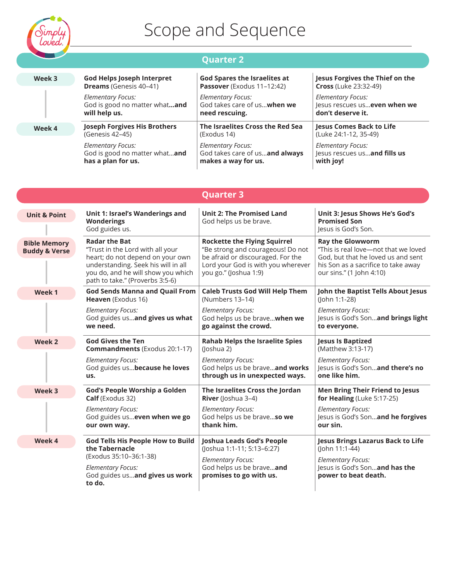

#### **Quarter 2**

| Week 3 | <b>God Helps Joseph Interpret</b>   | <b>God Spares the Israelites at</b> | Jesus Forgives the Thief on the |
|--------|-------------------------------------|-------------------------------------|---------------------------------|
|        | <b>Dreams</b> (Genesis 40-41)       | Passover (Exodus 11-12:42)          | <b>Cross (Luke 23:32-49)</b>    |
|        | <b>Elementary Focus:</b>            | <b>Elementary Focus:</b>            | <b>Elementary Focus:</b>        |
|        | God is good no matter whatand       | God takes care of uswhen we         | Jesus rescues us even when we   |
|        | will help us.                       | need rescuing.                      | don't deserve it.               |
| Week 4 | <b>Joseph Forgives His Brothers</b> | The Israelites Cross the Red Sea    | <b>Jesus Comes Back to Life</b> |
|        | (Genesis 42-45)                     | (Exodus 14)                         | (Luke 24:1-12, 35-49)           |
|        | <b>Elementary Focus:</b>            | <b>Elementary Focus:</b>            | Elementary Focus:               |
|        | God is good no matter whatand       | God takes care of usand always      | Jesus rescues usand fills us    |
|        | has a plan for us.                  | makes a way for us.                 | with joy!                       |

|                                                 |                                                                                                                                                                                                              | <b>Quarter 3</b>                                                                                                                                                             |                                                                                                                                                                          |
|-------------------------------------------------|--------------------------------------------------------------------------------------------------------------------------------------------------------------------------------------------------------------|------------------------------------------------------------------------------------------------------------------------------------------------------------------------------|--------------------------------------------------------------------------------------------------------------------------------------------------------------------------|
| <b>Unit &amp; Point</b>                         | Unit 1: Israel's Wanderings and<br><b>Wonderings</b><br>God guides us.                                                                                                                                       | <b>Unit 2: The Promised Land</b><br>God helps us be brave.                                                                                                                   | Unit 3: Jesus Shows He's God's<br><b>Promised Son</b><br>Jesus is God's Son.                                                                                             |
| <b>Bible Memory</b><br><b>Buddy &amp; Verse</b> | <b>Radar the Bat</b><br>"Trust in the Lord with all your<br>heart; do not depend on your own<br>understanding. Seek his will in all<br>you do, and he will show you which<br>path to take." (Proverbs 3:5-6) | <b>Rockette the Flying Squirrel</b><br>"Be strong and courageous! Do not<br>be afraid or discouraged. For the<br>Lord your God is with you wherever<br>you go." (Joshua 1:9) | <b>Ray the Glowworm</b><br>"This is real love-not that we loved<br>God, but that he loved us and sent<br>his Son as a sacrifice to take away<br>our sins." (1 John 4:10) |
| Week 1                                          | <b>God Sends Manna and Quail From</b><br>Heaven (Exodus 16)                                                                                                                                                  | <b>Caleb Trusts God Will Help Them</b><br>John the Baptist Tells About Jesus<br>(Numbers 13-14)<br>(John 1:1-28)                                                             |                                                                                                                                                                          |
|                                                 | <b>Elementary Focus:</b>                                                                                                                                                                                     | <b>Elementary Focus:</b>                                                                                                                                                     | <b>Elementary Focus:</b>                                                                                                                                                 |
|                                                 | God guides usand gives us what                                                                                                                                                                               | God helps us be brave when we                                                                                                                                                | Jesus is God's Sonand brings light                                                                                                                                       |
|                                                 | we need.                                                                                                                                                                                                     | go against the crowd.                                                                                                                                                        | to everyone.                                                                                                                                                             |
| Week 2                                          | <b>God Gives the Ten</b>                                                                                                                                                                                     | <b>Rahab Helps the Israelite Spies</b>                                                                                                                                       | <b>Jesus Is Baptized</b>                                                                                                                                                 |
|                                                 | <b>Commandments</b> (Exodus 20:1-17)                                                                                                                                                                         | (Joshua 2)                                                                                                                                                                   | (Matthew 3:13-17)                                                                                                                                                        |
|                                                 | <b>Elementary Focus:</b>                                                                                                                                                                                     | <b>Elementary Focus:</b>                                                                                                                                                     | <b>Elementary Focus:</b>                                                                                                                                                 |
|                                                 | God guides us because he loves                                                                                                                                                                               | God helps us be braveand works                                                                                                                                               | Jesus is God's Sonand there's no                                                                                                                                         |
|                                                 | us.                                                                                                                                                                                                          | through us in unexpected ways.                                                                                                                                               | one like him.                                                                                                                                                            |
| Week 3                                          | God's People Worship a Golden                                                                                                                                                                                | The Israelites Cross the Jordan                                                                                                                                              | <b>Men Bring Their Friend to Jesus</b>                                                                                                                                   |
|                                                 | <b>Calf</b> (Exodus 32)                                                                                                                                                                                      | <b>River</b> (Joshua 3-4)                                                                                                                                                    | for Healing (Luke $5:17-25$ )                                                                                                                                            |
|                                                 | <b>Elementary Focus:</b>                                                                                                                                                                                     | <b>Elementary Focus:</b>                                                                                                                                                     | <b>Elementary Focus:</b>                                                                                                                                                 |
|                                                 | God guides us even when we go                                                                                                                                                                                | God helps us be braveso we                                                                                                                                                   | Jesus is God's Sonand he forgives                                                                                                                                        |
|                                                 | our own way.                                                                                                                                                                                                 | thank him.                                                                                                                                                                   | our sin.                                                                                                                                                                 |
| Week 4                                          | <b>God Tells His People How to Build</b>                                                                                                                                                                     | Joshua Leads God's People                                                                                                                                                    | Jesus Brings Lazarus Back to Life                                                                                                                                        |
|                                                 | the Tabernacle                                                                                                                                                                                               | (Joshua 1:1-11; 5:13-6:27)                                                                                                                                                   | (John 11:1-44)                                                                                                                                                           |
|                                                 | (Exodus 35:10-36:1-38)<br><b>Elementary Focus:</b><br>God guides usand gives us work<br>to do.                                                                                                               | <b>Elementary Focus:</b><br>God helps us be braveand<br>promises to go with us.                                                                                              | <b>Elementary Focus:</b><br>Jesus is God's Sonand has the<br>power to beat death.                                                                                        |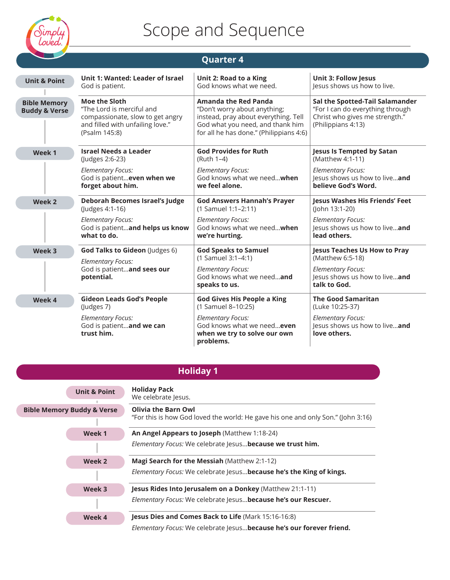

| <b>Quarter 4</b>                                |                                                                                                                                                                                                                                                                                                                                          |                                                                                                     |                                                                                                       |
|-------------------------------------------------|------------------------------------------------------------------------------------------------------------------------------------------------------------------------------------------------------------------------------------------------------------------------------------------------------------------------------------------|-----------------------------------------------------------------------------------------------------|-------------------------------------------------------------------------------------------------------|
| <b>Unit &amp; Point</b>                         | Unit 1: Wanted: Leader of Israel                                                                                                                                                                                                                                                                                                         | Unit 2: Road to a King                                                                              | <b>Unit 3: Follow Jesus</b>                                                                           |
|                                                 | God is patient.                                                                                                                                                                                                                                                                                                                          | God knows what we need.                                                                             | lesus shows us how to live.                                                                           |
| <b>Bible Memory</b><br><b>Buddy &amp; Verse</b> | Moe the Sloth<br>Amanda the Red Panda<br>"The Lord is merciful and<br>"Don't worry about anything;<br>instead, pray about everything. Tell<br>compassionate, slow to get angry<br>and filled with unfailing love."<br>God what you need, and thank him<br>(Philippians 4:13)<br>(Psalm 145:8)<br>for all he has done." (Philippians 4:6) |                                                                                                     | Sal the Spotted-Tail Salamander<br>"For I can do everything through<br>Christ who gives me strength." |
| Week 1                                          | <b>Israel Needs a Leader</b>                                                                                                                                                                                                                                                                                                             | <b>God Provides for Ruth</b>                                                                        | <b>Jesus Is Tempted by Satan</b>                                                                      |
|                                                 | (Judges 2:6-23)                                                                                                                                                                                                                                                                                                                          | (Ruth 1-4)                                                                                          | (Matthew 4:1-11)                                                                                      |
|                                                 | <b>Elementary Focus:</b>                                                                                                                                                                                                                                                                                                                 | <b>Elementary Focus:</b>                                                                            | <b>Elementary Focus:</b>                                                                              |
|                                                 | God is patient even when we                                                                                                                                                                                                                                                                                                              | God knows what we needwhen                                                                          | lesus shows us how to liveand                                                                         |
|                                                 | forget about him.                                                                                                                                                                                                                                                                                                                        | we feel alone.                                                                                      | believe God's Word.                                                                                   |
| Week 2                                          | <b>Deborah Becomes Israel's Judge</b>                                                                                                                                                                                                                                                                                                    | <b>God Answers Hannah's Prayer</b>                                                                  | Jesus Washes His Friends' Feet                                                                        |
|                                                 | (Judges 4:1-16)                                                                                                                                                                                                                                                                                                                          | (1 Samuel 1:1-2:11)                                                                                 | (John 13:1-20)                                                                                        |
|                                                 | <b>Elementary Focus:</b>                                                                                                                                                                                                                                                                                                                 | <b>Elementary Focus:</b>                                                                            | <b>Elementary Focus:</b>                                                                              |
|                                                 | God is patientand helps us know                                                                                                                                                                                                                                                                                                          | God knows what we needwhen                                                                          | lesus shows us how to liveand                                                                         |
|                                                 | what to do.                                                                                                                                                                                                                                                                                                                              | we're hurting.                                                                                      | lead others.                                                                                          |
| Week 3                                          | God Talks to Gideon (Judges 6)                                                                                                                                                                                                                                                                                                           | <b>God Speaks to Samuel</b>                                                                         | <b>Jesus Teaches Us How to Pray</b>                                                                   |
|                                                 | <b>Elementary Focus:</b>                                                                                                                                                                                                                                                                                                                 | (1 Samuel 3:1-4:1)                                                                                  | (Matthew 6:5-18)                                                                                      |
|                                                 | God is patientand sees our<br>potential.                                                                                                                                                                                                                                                                                                 | <b>Elementary Focus:</b><br>God knows what we needand<br>speaks to us.                              | <b>Elementary Focus:</b><br>lesus shows us how to liveand<br>talk to God.                             |
| Week 4                                          | <b>Gideon Leads God's People</b>                                                                                                                                                                                                                                                                                                         | <b>God Gives His People a King</b>                                                                  | <b>The Good Samaritan</b>                                                                             |
|                                                 | (Judges 7)                                                                                                                                                                                                                                                                                                                               | (1 Samuel 8-10:25)                                                                                  | (Luke 10:25-37)                                                                                       |
|                                                 | <b>Elementary Focus:</b><br>God is patientand we can<br>trust him.                                                                                                                                                                                                                                                                       | <b>Elementary Focus:</b><br>God knows what we needeven<br>when we try to solve our own<br>problems. | <b>Elementary Focus:</b><br>lesus shows us how to liveand<br>love others.                             |

### **Holiday 1**

|                                       | <b>Unit &amp; Point</b>                                    | <b>Holiday Pack</b><br>We celebrate Jesus.                                                                     |
|---------------------------------------|------------------------------------------------------------|----------------------------------------------------------------------------------------------------------------|
| <b>Bible Memory Buddy &amp; Verse</b> |                                                            | <b>Olivia the Barn Owl</b><br>"For this is how God loved the world: He gave his one and only Son." (John 3:16) |
|                                       | Week 1                                                     | An Angel Appears to Joseph (Matthew 1:18-24)                                                                   |
|                                       | Elementary Focus: We celebrate Jesus because we trust him. |                                                                                                                |
| Week 2                                |                                                            | Magi Search for the Messiah (Matthew 2:1-12)                                                                   |
|                                       |                                                            | Elementary Focus: We celebrate Jesusbecause he's the King of kings.                                            |
|                                       | Week 3                                                     | <b>Jesus Rides Into Jerusalem on a Donkey (Matthew 21:1-11)</b>                                                |
| Week 4                                |                                                            | Elementary Focus: We celebrate Jesus because he's our Rescuer.                                                 |
|                                       |                                                            | <b>Jesus Dies and Comes Back to Life (Mark 15:16-16:8)</b>                                                     |
|                                       |                                                            | Elementary Focus: We celebrate Jesus because he's our forever friend.                                          |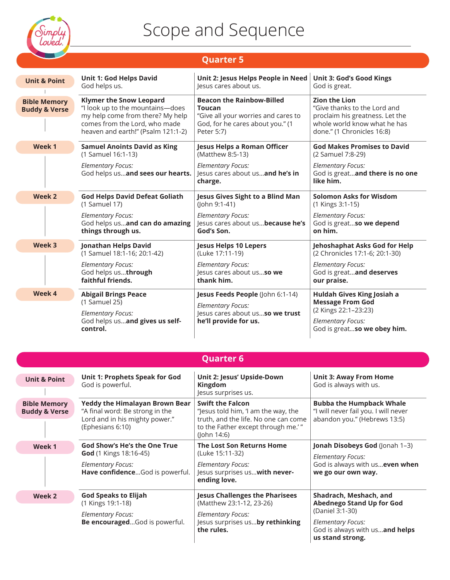

### **Quarter 5**

| <b>Unit &amp; Point</b>                         | <b>Unit 1: God Helps David</b>                                                                                                                                                | Unit 2: Jesus Helps People in Need                                                                                                         | <b>Unit 3: God's Good Kings</b>                                                                                                                       |  |
|-------------------------------------------------|-------------------------------------------------------------------------------------------------------------------------------------------------------------------------------|--------------------------------------------------------------------------------------------------------------------------------------------|-------------------------------------------------------------------------------------------------------------------------------------------------------|--|
|                                                 | God helps us.                                                                                                                                                                 | Jesus cares about us.                                                                                                                      | God is great.                                                                                                                                         |  |
| <b>Bible Memory</b><br><b>Buddy &amp; Verse</b> | <b>Klymer the Snow Leopard</b><br>"I look up to the mountains-does<br>my help come from there? My help<br>comes from the Lord, who made<br>heaven and earth!" (Psalm 121:1-2) | <b>Beacon the Rainbow-Billed</b><br><b>Toucan</b><br>"Give all your worries and cares to<br>God, for he cares about you." (1<br>Peter 5:7) | <b>Zion the Lion</b><br>"Give thanks to the Lord and<br>proclaim his greatness. Let the<br>whole world know what he has<br>done." (1 Chronicles 16:8) |  |
| Week 1                                          | <b>Samuel Anoints David as King</b><br>(1 Samuel 16:1-13)<br><b>Elementary Focus:</b><br>God helps usand sees our hearts.                                                     | Jesus Helps a Roman Officer<br>(Matthew 8:5-13)<br><b>Elementary Focus:</b><br>lesus cares about usand he's in<br>charge.                  | <b>God Makes Promises to David</b><br>(2 Samuel 7:8-29)<br><b>Elementary Focus:</b><br>God is greatand there is no one<br>like him.                   |  |
| Week 2                                          | <b>God Helps David Defeat Goliath</b>                                                                                                                                         | Jesus Gives Sight to a Blind Man                                                                                                           | <b>Solomon Asks for Wisdom</b>                                                                                                                        |  |
|                                                 | (1 Samuel 17)                                                                                                                                                                 | (John 9:1-41)                                                                                                                              | (1 Kings 3:1-15)                                                                                                                                      |  |
|                                                 | <b>Elementary Focus:</b>                                                                                                                                                      | <b>Elementary Focus:</b>                                                                                                                   | <b>Elementary Focus:</b>                                                                                                                              |  |
|                                                 | God helps usand can do amazing                                                                                                                                                | lesus cares about us because he's                                                                                                          | God is greatso we depend                                                                                                                              |  |
|                                                 | things through us.                                                                                                                                                            | God's Son.                                                                                                                                 | on him.                                                                                                                                               |  |
| Week 3                                          | Jonathan Helps David                                                                                                                                                          | <b>Jesus Helps 10 Lepers</b>                                                                                                               | Jehoshaphat Asks God for Help                                                                                                                         |  |
|                                                 | (1 Samuel 18:1-16; 20:1-42)                                                                                                                                                   | (Luke 17:11-19)                                                                                                                            | (2 Chronicles 17:1-6; 20:1-30)                                                                                                                        |  |
|                                                 | <b>Elementary Focus:</b>                                                                                                                                                      | <b>Elementary Focus:</b>                                                                                                                   | <b>Elementary Focus:</b>                                                                                                                              |  |
|                                                 | God helps usthrough                                                                                                                                                           | Jesus cares about usso we                                                                                                                  | God is greatand deserves                                                                                                                              |  |
|                                                 | faithful friends.                                                                                                                                                             | thank him.                                                                                                                                 | our praise.                                                                                                                                           |  |
| Week 4                                          | <b>Abigail Brings Peace</b><br>(1 Samuel 25)<br><b>Elementary Focus:</b><br>God helps usand gives us self-<br>control.                                                        | Jesus Feeds People (John 6:1-14)<br><b>Elementary Focus:</b><br>lesus cares about usso we trust<br>he'll provide for us.                   | Huldah Gives King Josiah a<br><b>Message From God</b><br>(2 Kings 22:1-23:23)<br><b>Elementary Focus:</b><br>God is greatso we obey him.              |  |

| <b>Quarter 6</b>                                |                                                                                                                                |                                                                                                                                                             |                                                                                                                                                                 |
|-------------------------------------------------|--------------------------------------------------------------------------------------------------------------------------------|-------------------------------------------------------------------------------------------------------------------------------------------------------------|-----------------------------------------------------------------------------------------------------------------------------------------------------------------|
| <b>Unit &amp; Point</b>                         | Unit 1: Prophets Speak for God<br>God is powerful.                                                                             | Unit 2: Jesus' Upside-Down<br>Kingdom<br>Jesus surprises us.                                                                                                | <b>Unit 3: Away From Home</b><br>God is always with us.                                                                                                         |
| <b>Bible Memory</b><br><b>Buddy &amp; Verse</b> | <b>Yeddy the Himalayan Brown Bear</b><br>"A final word: Be strong in the<br>Lord and in his mighty power."<br>(Ephesians 6:10) | <b>Swift the Falcon</b><br>"Jesus told him, 'I am the way, the<br>truth, and the life. No one can come<br>to the Father except through me.'"<br>(John 14:6) | <b>Bubba the Humpback Whale</b><br>"I will never fail you. I will never<br>abandon you." (Hebrews 13:5)                                                         |
| Week 1                                          | God Show's He's the One True<br>God (1 Kings 18:16-45)<br><b>Elementary Focus:</b><br>Have confidenceGod is powerful.          | The Lost Son Returns Home<br>(Luke 15:11-32)<br><b>Elementary Focus:</b><br>Jesus surprises us with never-<br>ending love.                                  | Jonah Disobeys God (Jonah 1-3)<br><b>Elementary Focus:</b><br>God is always with us even when<br>we go our own way.                                             |
| Week 2                                          | <b>God Speaks to Elijah</b><br>(1 Kings 19:1-18)<br><b>Elementary Focus:</b><br>Be encouragedGod is powerful.                  | <b>Jesus Challenges the Pharisees</b><br>(Matthew 23:1-12, 23-26)<br><b>Elementary Focus:</b><br>Jesus surprises usby rethinking<br>the rules.              | Shadrach, Meshach, and<br><b>Abednego Stand Up for God</b><br>(Daniel 3:1-30)<br><b>Elementary Focus:</b><br>God is always with usand helps<br>us stand strong. |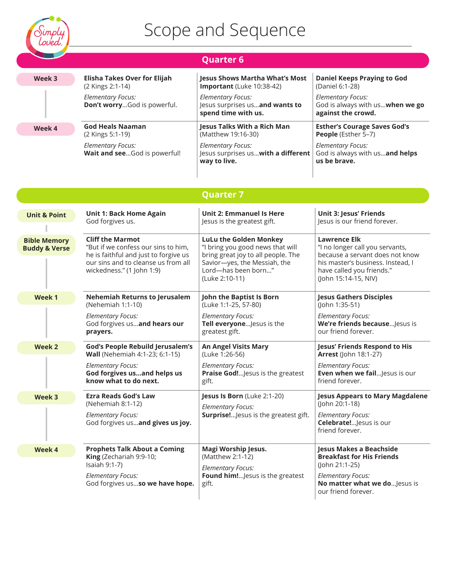

|                                                 |                                                                                                                                                                             | <b>Quarter 6</b>                                                                                                                                                                 |                                                                                                                                                                                     |
|-------------------------------------------------|-----------------------------------------------------------------------------------------------------------------------------------------------------------------------------|----------------------------------------------------------------------------------------------------------------------------------------------------------------------------------|-------------------------------------------------------------------------------------------------------------------------------------------------------------------------------------|
| Week 3                                          | Elisha Takes Over for Elijah<br>(2 Kings 2:1-14)                                                                                                                            | <b>Jesus Shows Martha What's Most</b><br>Important (Luke 10:38-42)                                                                                                               | <b>Daniel Keeps Praying to God</b><br>(Daniel 6:1-28)                                                                                                                               |
|                                                 | <b>Elementary Focus:</b><br>Don't worryGod is powerful.                                                                                                                     | <b>Elementary Focus:</b><br>Jesus surprises usand wants to<br>spend time with us.                                                                                                | <b>Elementary Focus:</b><br>God is always with us when we go<br>against the crowd.                                                                                                  |
| Week 4                                          | <b>God Heals Naaman</b><br>(2 Kings 5:1-19)                                                                                                                                 | <b>Jesus Talks With a Rich Man</b><br>(Matthew 19:16-30)                                                                                                                         | <b>Esther's Courage Saves God's</b><br>People (Esther 5-7)                                                                                                                          |
|                                                 | <b>Elementary Focus:</b><br>Wait and seeGod is powerful!                                                                                                                    | <b>Elementary Focus:</b><br>Jesus surprises us with a different<br>way to live.                                                                                                  | <b>Elementary Focus:</b><br>God is always with usand helps<br>us be brave.                                                                                                          |
|                                                 |                                                                                                                                                                             | <b>Quarter 7</b>                                                                                                                                                                 |                                                                                                                                                                                     |
| <b>Unit &amp; Point</b>                         | <b>Unit 1: Back Home Again</b><br>God forgives us.                                                                                                                          | <b>Unit 2: Emmanuel Is Here</b><br>Jesus is the greatest gift.                                                                                                                   | <b>Unit 3: Jesus' Friends</b><br>Jesus is our friend forever.                                                                                                                       |
| <b>Bible Memory</b><br><b>Buddy &amp; Verse</b> | <b>Cliff the Marmot</b><br>"But if we confess our sins to him,<br>he is faithful and just to forgive us<br>our sins and to cleanse us from all<br>wickedness." (1 John 1:9) | <b>LuLu the Golden Monkey</b><br>"I bring you good news that will<br>bring great joy to all people. The<br>Savior-yes, the Messiah, the<br>Lord-has been born"<br>(Luke 2:10-11) | <b>Lawrence Elk</b><br>"I no longer call you servants,<br>because a servant does not know<br>his master's business. Instead, I<br>have called you friends."<br>(John 15:14-15, NIV) |
| Week 1                                          | <b>Nehemiah Returns to Jerusalem</b><br>(Nehemiah 1:1-10)<br><b>Elementary Focus:</b><br>God forgives usand hears our<br>prayers.                                           | John the Baptist Is Born<br>(Luke 1:1-25, 57-80)<br><b>Elementary Focus:</b><br>Tell everyone Jesus is the<br>greatest gift.                                                     | <b>Jesus Gathers Disciples</b><br>(John 1:35-51)<br><b>Elementary Focus:</b><br>We're friends because Jesus is<br>our friend forever.                                               |
| Week 2                                          | <b>God's People Rebuild Jerusalem's</b><br>Wall (Nehemiah 4:1-23; 6:1-15)<br><b>Elementary Focus:</b><br>God forgives usand helps us<br>know what to do next.               | <b>An Angel Visits Mary</b><br>(Luke 1:26-56)<br><b>Elementary Focus:</b><br>Praise God! Jesus is the greatest<br>gift.                                                          | Jesus' Friends Respond to His<br><b>Arrest</b> (John 18:1-27)<br><b>Elementary Focus:</b><br>Even when we fail Jesus is our<br>friend forever.                                      |
| Week 3                                          | <b>Ezra Reads God's Law</b><br>(Nehemiah 8:1-12)<br><b>Elementary Focus:</b><br>God forgives usand gives us joy.                                                            | Jesus Is Born (Luke 2:1-20)<br><b>Elementary Focus:</b><br>Surprise! Jesus is the greatest gift.                                                                                 | <b>Jesus Appears to Mary Magdalene</b><br>(John 20:1-18)<br><b>Elementary Focus:</b><br>Celebrate! Jesus is our<br>friend forever.                                                  |
| Week 4                                          | <b>Prophets Talk About a Coming</b><br>King (Zechariah 9:9-10;<br>Isaiah 9:1-7)<br><b>Elementary Focus:</b><br>God forgives usso we have hope.                              | Magi Worship Jesus.<br>(Matthew 2:1-12)<br><b>Elementary Focus:</b><br>Found him! Jesus is the greatest<br>gift.                                                                 | Jesus Makes a Beachside<br><b>Breakfast for His Friends</b><br>(John 21:1-25)<br><b>Elementary Focus:</b><br>No matter what we doJesus is<br>our friend forever.                    |